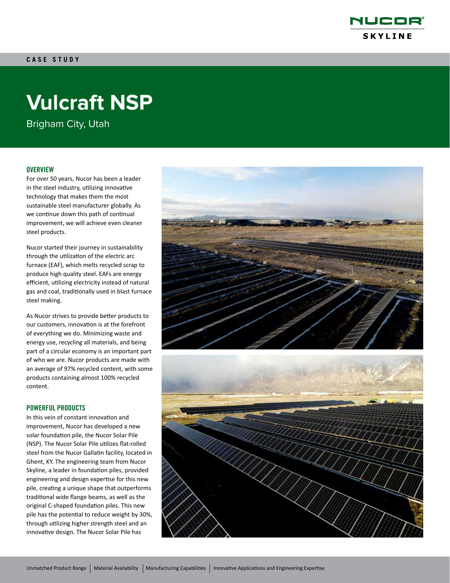

# **Vulcraft NSP**

Brigham City, Utah

## **OVERVIEW**

For over 50 years, Nucor has been a leader in the steel industry, utilizing innovative technology that makes them the most sustainable steel manufacturer globally. As we continue down this path of continual improvement, we will achieve even cleaner steel products.

Nucor started their journey in sustainability through the utilization of the electric arc furnace (EAF), which melts recycled scrap to produce high quality steel. EAFs are energy efficient, utilizing electricity instead of natural gas and coal, traditionally used in blast furnace steel making.

As Nucor strives to provide better products to our customers, innovation is at the forefront of everything we do. Minimizing waste and energy use, recycling all materials, and being part of a circular economy is an important part of who we are. Nucor products are made with an average of 97% recycled content, with some products containing almost 100% recycled content.

### POWERFUL PRODUCTS

In this vein of constant innovation and improvement, Nucor has developed a new solar foundation pile, the Nucor Solar Pile (NSP). The Nucor Solar Pile utilizes flat-rolled steel from the Nucor Gallatin facility, located in Ghent, KY. The engineering team from Nucor Skyline, a leader in foundation piles, provided engineering and design expertise for this new pile, creating a unique shape that outperforms traditional wide flange beams, as well as the original C-shaped foundation piles. This new pile has the potential to reduce weight by 30%, through utilizing higher strength steel and an innovative design. The Nucor Solar Pile has